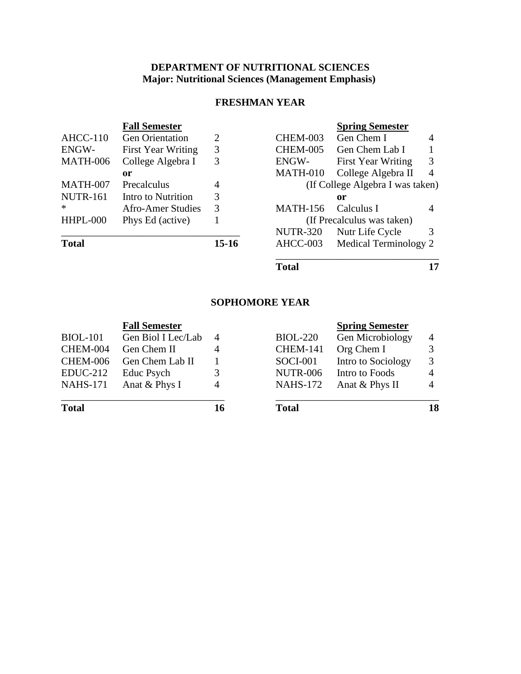# **DEPARTMENT OF NUTRITIONAL SCIENCES Major: Nutritional Sciences (Management Emphasis)**

# **FRESHMAN YEAR**

|                 | <b>Fall Semester</b>      |                |                                  | <b>Spring Semester</b>    |   |
|-----------------|---------------------------|----------------|----------------------------------|---------------------------|---|
| $AHCC-110$      | <b>Gen Orientation</b>    | 2              | <b>CHEM-003</b>                  | Gen Chem I                | 4 |
| ENGW-           | <b>First Year Writing</b> | 3              | <b>CHEM-005</b>                  | Gen Chem Lab I            |   |
| <b>MATH-006</b> | College Algebra I         | 3              | ENGW-                            | <b>First Year Writing</b> | 3 |
|                 | 0r                        |                | MATH-010                         | College Algebra II        | 4 |
| MATH-007        | Precalculus               | $\overline{4}$ | (If College Algebra I was taken) |                           |   |
| <b>NUTR-161</b> | Intro to Nutrition        | 3              |                                  | or                        |   |
| $\ast$          | Afro-Amer Studies         | 3              | <b>MATH-156</b>                  | Calculus I                | 4 |
| HHPL-000        | Phys Ed (active)          |                | (If Precalculus was taken)       |                           |   |
|                 |                           |                | <b>NUTR-320</b>                  | Nutr Life Cycle           | 3 |
| <b>Total</b>    |                           | $15-16$        | AHCC-003                         | Medical Terminology 2     |   |

**Total 17**

### **SOPHOMORE YEAR**

|                 | <b>Fall Semester</b> |                |                 | <b>Spring Semester</b> |                |
|-----------------|----------------------|----------------|-----------------|------------------------|----------------|
| <b>BIOL-101</b> | Gen Biol I Lec/Lab   | $\overline{4}$ | <b>BIOL-220</b> | Gen Microbiology       | 4              |
| CHEM-004        | Gen Chem II          | $\overline{A}$ | <b>CHEM-141</b> | Org Chem I             | 3              |
| <b>CHEM-006</b> | Gen Chem Lab II      |                | <b>SOCI-001</b> | Intro to Sociology     | 3              |
| $EDUC-212$      | Educ Psych           |                | <b>NUTR-006</b> | Intro to Foods         | $\overline{4}$ |
| <b>NAHS-171</b> | Anat & Phys I        | $\overline{4}$ | <b>NAHS-172</b> | Anat & Phys II         | 4              |
| <b>Total</b>    |                      | 16             | <b>Total</b>    |                        | 18             |